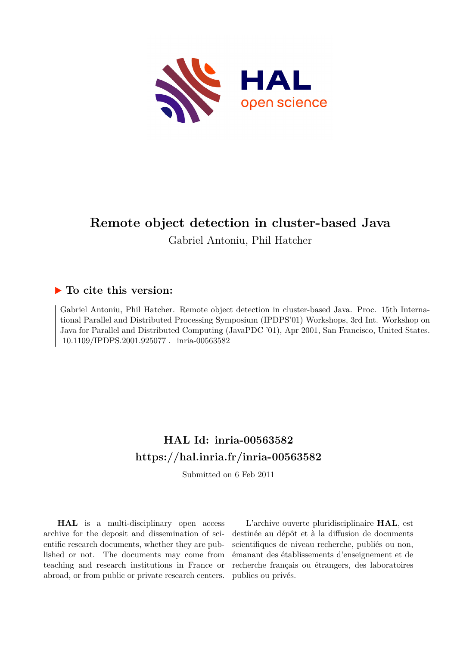

# **Remote object detection in cluster-based Java**

Gabriel Antoniu, Phil Hatcher

# **To cite this version:**

Gabriel Antoniu, Phil Hatcher. Remote object detection in cluster-based Java. Proc. 15th International Parallel and Distributed Processing Symposium (IPDPS'01) Workshops, 3rd Int. Workshop on Java for Parallel and Distributed Computing (JavaPDC '01), Apr 2001, San Francisco, United States. 10.1109/IPDPS.2001.925077. inria-00563582

# **HAL Id: inria-00563582 <https://hal.inria.fr/inria-00563582>**

Submitted on 6 Feb 2011

**HAL** is a multi-disciplinary open access archive for the deposit and dissemination of scientific research documents, whether they are published or not. The documents may come from teaching and research institutions in France or abroad, or from public or private research centers.

L'archive ouverte pluridisciplinaire **HAL**, est destinée au dépôt et à la diffusion de documents scientifiques de niveau recherche, publiés ou non, émanant des établissements d'enseignement et de recherche français ou étrangers, des laboratoires publics ou privés.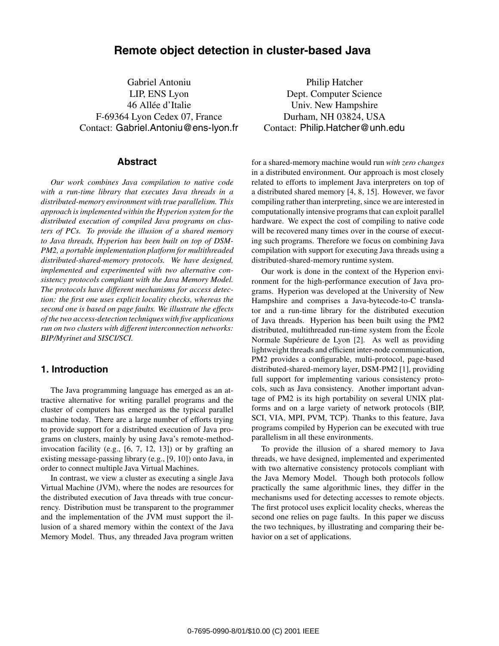# **Remote object detection in cluster-based Java**

Gabriel Antoniu LIP, ENS Lyon 46 Allée d'Italie F-69364 Lyon Cedex 07, France Contact: Gabriel.Antoniu@ens-lyon.fr

### **Abstract**

*Our work combines Java compilation to native code with a run-time library that executes Java threads in a distributed-memory environment with true parallelism. This approach is implemented within the Hyperion system for the distributed execution of compiled Java programs on clusters of PCs. To provide the illusion of a shared memory to Java threads, Hyperion has been built on top of DSM-PM2, a portable implementation platform for multithreaded distributed-shared-memory protocols. We have designed, implemented and experimented with two alternative consistency protocols compliant with the Java Memory Model. The protocols have different mechanisms for access detection: the first one uses explicit locality checks, whereas the second one is based on page faults. We illustrate the effects of the two access-detection techniques with five applications run on two clusters with different interconnection networks: BIP/Myrinet and SISCI/SCI.*

## **1. Introduction**

The Java programming language has emerged as an attractive alternative for writing parallel programs and the cluster of computers has emerged as the typical parallel machine today. There are a large number of efforts trying to provide support for a distributed execution of Java programs on clusters, mainly by using Java's remote-methodinvocation facility (e.g., [6, 7, 12, 13]) or by grafting an existing message-passing library (e.g., [9, 10]) onto Java, in order to connect multiple Java Virtual Machines.

In contrast, we view a cluster as executing a single Java Virtual Machine (JVM), where the nodes are resources for the distributed execution of Java threads with true concurrency. Distribution must be transparent to the programmer and the implementation of the JVM must support the illusion of a shared memory within the context of the Java Memory Model. Thus, any threaded Java program written

Philip Hatcher Dept. Computer Science Univ. New Hampshire Durham, NH 03824, USA Contact: Philip.Hatcher@unh.edu

for a shared-memory machine would run *with zero changes* in a distributed environment. Our approach is most closely related to efforts to implement Java interpreters on top of a distributed shared memory [4, 8, 15]. However, we favor compiling rather than interpreting, since we are interested in computationally intensive programs that can exploit parallel hardware. We expect the cost of compiling to native code will be recovered many times over in the course of executing such programs. Therefore we focus on combining Java compilation with support for executing Java threads using a distributed-shared-memory runtime system.

Our work is done in the context of the Hyperion environment for the high-performance execution of Java programs. Hyperion was developed at the University of New Hampshire and comprises a Java-bytecode-to-C translator and a run-time library for the distributed execution of Java threads. Hyperion has been built using the PM2 distributed, multithreaded run-time system from the École Normale Supérieure de Lyon [2]. As well as providing lightweight threads and efficient inter-node communication, PM2 provides a configurable, multi-protocol, page-based distributed-shared-memory layer, DSM-PM2 [1], providing full support for implementing various consistency protocols, such as Java consistency. Another important advantage of PM2 is its high portability on several UNIX platforms and on a large variety of network protocols (BIP, SCI, VIA, MPI, PVM, TCP). Thanks to this feature, Java programs compiled by Hyperion can be executed with true parallelism in all these environments.

To provide the illusion of a shared memory to Java threads, we have designed, implemented and experimented with two alternative consistency protocols compliant with the Java Memory Model. Though both protocols follow practically the same algorithmic lines, they differ in the mechanisms used for detecting accesses to remote objects. The first protocol uses explicit locality checks, whereas the second one relies on page faults. In this paper we discuss the two techniques, by illustrating and comparing their behavior on a set of applications.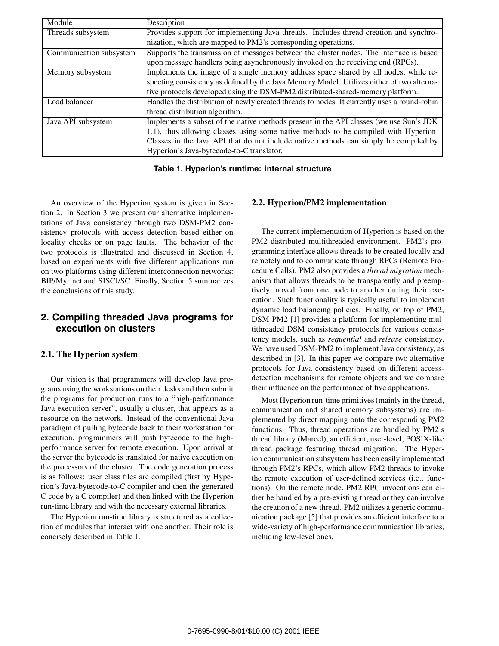| Module                  | Description                                                                                 |  |
|-------------------------|---------------------------------------------------------------------------------------------|--|
| Threads subsystem       | Provides support for implementing Java threads. Includes thread creation and synchro-       |  |
|                         | nization, which are mapped to PM2's corresponding operations.                               |  |
| Communication subsystem | Supports the transmission of messages between the cluster nodes. The interface is based     |  |
|                         | upon message handlers being asynchronously invoked on the receiving end (RPCs).             |  |
| Memory subsystem        | Implements the image of a single memory address space shared by all nodes, while re-        |  |
|                         | specting consistency as defined by the Java Memory Model. Utilizes either of two alterna-   |  |
|                         | tive protocols developed using the DSM-PM2 distributed-shared-memory platform.              |  |
| Load balancer           | Handles the distribution of newly created threads to nodes. It currently uses a round-robin |  |
|                         | thread distribution algorithm.                                                              |  |
| Java API subsystem      | Implements a subset of the native methods present in the API classes (we use Sun's JDK      |  |
|                         | 1.1), thus allowing classes using some native methods to be compiled with Hyperion.         |  |
|                         | Classes in the Java API that do not include native methods can simply be compiled by        |  |
|                         | Hyperion's Java-bytecode-to-C translator.                                                   |  |

**Table 1. Hyperion's runtime: internal structure**

An overview of the Hyperion system is given in Section 2. In Section 3 we present our alternative implementations of Java consistency through two DSM-PM2 consistency protocols with access detection based either on locality checks or on page faults. The behavior of the two protocols is illustrated and discussed in Section 4, based on experiments with five different applications run on two platforms using different interconnection networks: BIP/Myrinet and SISCI/SC. Finally, Section 5 summarizes the conclusions of this study.

# **2. Compiling threaded Java programs for execution on clusters**

#### **2.1. The Hyperion system**

Our vision is that programmers will develop Java programs using the workstations on their desks and then submit the programs for production runs to a "high-performance Java execution server", usually a cluster, that appears as a resource on the network. Instead of the conventional Java paradigm of pulling bytecode back to their workstation for execution, programmers will push bytecode to the highperformance server for remote execution. Upon arrival at the server the bytecode is translated for native execution on the processors of the cluster. The code generation process is as follows: user class files are compiled (first by Hyperion's Java-bytecode-to-C compiler and then the generated C code by a C compiler) and then linked with the Hyperion run-time library and with the necessary external libraries.

The Hyperion run-time library is structured as a collection of modules that interact with one another. Their role is concisely described in Table 1.

#### **2.2. Hyperion/PM2 implementation**

The current implementation of Hyperion is based on the PM2 distributed multithreaded environment. PM2's programming interface allows threads to be created locally and remotely and to communicate through RPCs (Remote Procedure Calls). PM2 also provides a *thread migration* mechanism that allows threads to be transparently and preemptively moved from one node to another during their execution. Such functionality is typically useful to implement dynamic load balancing policies. Finally, on top of PM2, DSM-PM2 [1] provides a platform for implementing multithreaded DSM consistency protocols for various consistency models, such as *sequential* and *release* consistency. We have used DSM-PM2 to implement Java consistency, as described in [3]. In this paper we compare two alternative protocols for Java consistency based on different accessdetection mechanisms for remote objects and we compare their influence on the performance of five applications.

Most Hyperion run-time primitives (mainly in the thread, communication and shared memory subsystems) are implemented by direct mapping onto the corresponding PM2 functions. Thus, thread operations are handled by PM2's thread library (Marcel), an efficient, user-level, POSIX-like thread package featuring thread migration. The Hyperion communication subsystem has been easily implemented through PM2's RPCs, which allow PM2 threads to invoke the remote execution of user-defined services (i.e., functions). On the remote node, PM2 RPC invocations can either be handled by a pre-existing thread or they can involve the creation of a new thread. PM2 utilizes a generic communication package [5] that provides an efficient interface to a wide-variety of high-performance communication libraries, including low-level ones.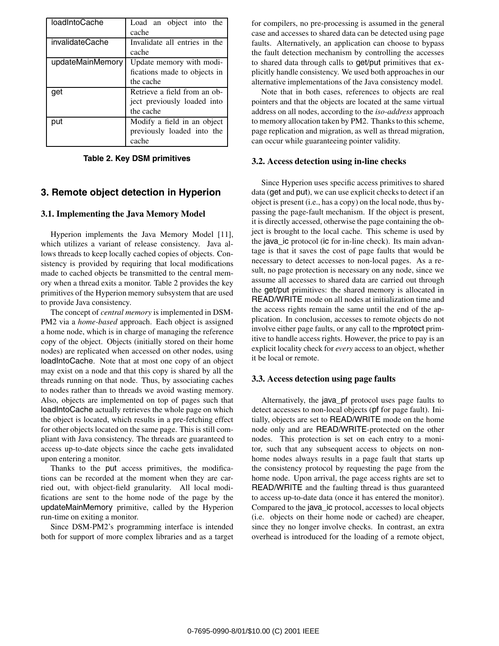| loadIntoCache    | Load an object into the<br>cache                                         |
|------------------|--------------------------------------------------------------------------|
| invalidateCache  | Invalidate all entries in the<br>cache                                   |
| updateMainMemory | Update memory with modi-<br>fications made to objects in<br>the cache    |
| aet              | Retrieve a field from an ob-<br>ject previously loaded into<br>the cache |
| put              | Modify a field in an object<br>previously loaded into the<br>cache       |

**Table 2. Key DSM primitives**

# **3. Remote object detection in Hyperion**

#### **3.1. Implementing the Java Memory Model**

Hyperion implements the Java Memory Model [11], which utilizes a variant of release consistency. Java allows threads to keep locally cached copies of objects. Consistency is provided by requiring that local modifications made to cached objects be transmitted to the central memory when a thread exits a monitor. Table 2 provides the key primitives of the Hyperion memory subsystem that are used to provide Java consistency.

The concept of *central memory* is implemented in DSM-PM2 via a *home-based* approach. Each object is assigned a home node, which is in charge of managing the reference copy of the object. Objects (initially stored on their home nodes) are replicated when accessed on other nodes, using loadIntoCache. Note that at most one copy of an object may exist on a node and that this copy is shared by all the threads running on that node. Thus, by associating caches to nodes rather than to threads we avoid wasting memory. Also, objects are implemented on top of pages such that loadIntoCache actually retrieves the whole page on which the object is located, which results in a pre-fetching effect for other objects located on the same page. This is still compliant with Java consistency. The threads are guaranteed to access up-to-date objects since the cache gets invalidated upon entering a monitor.

Thanks to the put access primitives, the modifications can be recorded at the moment when they are carried out, with object-field granularity. All local modifications are sent to the home node of the page by the updateMainMemory primitive, called by the Hyperion run-time on exiting a monitor.

Since DSM-PM2's programming interface is intended both for support of more complex libraries and as a target for compilers, no pre-processing is assumed in the general case and accesses to shared data can be detected using page faults. Alternatively, an application can choose to bypass the fault detection mechanism by controlling the accesses to shared data through calls to get/put primitives that explicitly handle consistency. We used both approaches in our alternative implementations of the Java consistency model.

Note that in both cases, references to objects are real pointers and that the objects are located at the same virtual address on all nodes, according to the *iso-address* approach to memory allocation taken by PM2. Thanks to this scheme, page replication and migration, as well as thread migration, can occur while guaranteeing pointer validity.

#### **3.2. Access detection using in-line checks**

Since Hyperion uses specific access primitives to shared data (get and put), we can use explicit checks to detect if an object is present (i.e., has a copy) on the local node, thus bypassing the page-fault mechanism. If the object is present, it is directly accessed, otherwise the page containing the object is brought to the local cache. This scheme is used by the java\_ic protocol (ic for in-line check). Its main advantage is that it saves the cost of page faults that would be necessary to detect accesses to non-local pages. As a result, no page protection is necessary on any node, since we assume all accesses to shared data are carried out through the get/put primitives: the shared memory is allocated in READ/WRITE mode on all nodes at initialization time and the access rights remain the same until the end of the application. In conclusion, accesses to remote objects do not involve either page faults, or any call to the mprotect primitive to handle access rights. However, the price to pay is an explicit locality check for *every* access to an object, whether it be local or remote.

#### **3.3. Access detection using page faults**

Alternatively, the java\_pf protocol uses page faults to detect accesses to non-local objects (pf for page fault). Initially, objects are set to READ/WRITE mode on the home node only and are READ/WRITE-protected on the other nodes. This protection is set on each entry to a monitor, such that any subsequent access to objects on nonhome nodes always results in a page fault that starts up the consistency protocol by requesting the page from the home node. Upon arrival, the page access rights are set to READ/WRITE and the faulting thread is thus guaranteed to access up-to-date data (once it has entered the monitor). Compared to the java\_ic protocol, accesses to local objects (i.e. objects on their home node or cached) are cheaper, since they no longer involve checks. In contrast, an extra overhead is introduced for the loading of a remote object,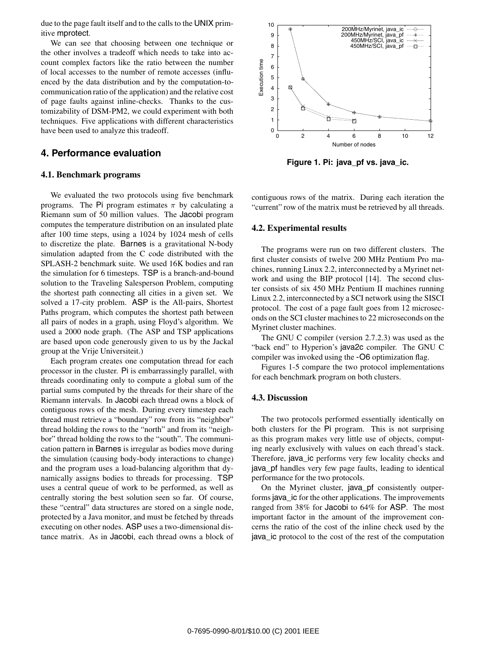due to the page fault itself and to the calls to the UNIX primitive mprotect.

We can see that choosing between one technique or the other involves a tradeoff which needs to take into account complex factors like the ratio between the number of local accesses to the number of remote accesses (influenced by the data distribution and by the computation-tocommunication ratio of the application) and the relative cost of page faults against inline-checks. Thanks to the customizability of DSM-PM2, we could experiment with both techniques. Five applications with different characteristics have been used to analyze this tradeoff.

#### **4. Performance evaluation**

#### **4.1. Benchmark programs**

We evaluated the two protocols using five benchmark programs. The Pi program estimates  $\pi$  by calculating a Riemann sum of 50 million values. The Jacobi program computes the temperature distribution on an insulated plate after 100 time steps, using a 1024 by 1024 mesh of cells to discretize the plate. Barnes is a gravitational N-body simulation adapted from the C code distributed with the SPLASH-2 benchmark suite. We used 16K bodies and ran the simulation for 6 timesteps. TSP is a branch-and-bound solution to the Traveling Salesperson Problem, computing the shortest path connecting all cities in a given set. We solved a 17-city problem. ASP is the All-pairs, Shortest Paths program, which computes the shortest path between all pairs of nodes in a graph, using Floyd's algorithm. We used a 2000 node graph. (The ASP and TSP applications are based upon code generously given to us by the Jackal group at the Vrije Universiteit.)

Each program creates one computation thread for each processor in the cluster. Pi is embarrassingly parallel, with threads coordinating only to compute a global sum of the partial sums computed by the threads for their share of the Riemann intervals. In Jacobi each thread owns a block of contiguous rows of the mesh. During every timestep each thread must retrieve a "boundary" row from its "neighbor" thread holding the rows to the "north" and from its "neighbor" thread holding the rows to the "south". The communication pattern in Barnes is irregular as bodies move during the simulation (causing body-body interactions to change) and the program uses a load-balancing algorithm that dynamically assigns bodies to threads for processing. TSP uses a central queue of work to be performed, as well as centrally storing the best solution seen so far. Of course, these "central" data structures are stored on a single node, protected by a Java monitor, and must be fetched by threads executing on other nodes. ASP uses a two-dimensional distance matrix. As in Jacobi, each thread owns a block of



**Figure 1. Pi: java\_pf vs. java\_ic.**

contiguous rows of the matrix. During each iteration the "current" row of the matrix must be retrieved by all threads.

#### **4.2. Experimental results**

The programs were run on two different clusters. The first cluster consists of twelve 200 MHz Pentium Pro machines, running Linux 2.2, interconnected by a Myrinet network and using the BIP protocol [14]. The second cluster consists of six 450 MHz Pentium II machines running Linux 2.2, interconnected by a SCI network using the SISCI protocol. The cost of a page fault goes from 12 microseconds on the SCI cluster machines to 22 microseconds on the Myrinet cluster machines.

The GNU C compiler (version 2.7.2.3) was used as the "back end" to Hyperion's java2c compiler. The GNU C compiler was invoked using the -O6 optimization flag.

Figures 1-5 compare the two protocol implementations for each benchmark program on both clusters.

#### **4.3. Discussion**

The two protocols performed essentially identically on both clusters for the Pi program. This is not surprising as this program makes very little use of objects, computing nearly exclusively with values on each thread's stack. Therefore, java\_ic performs very few locality checks and java\_pf handles very few page faults, leading to identical performance for the two protocols.

On the Myrinet cluster, java\_pf consistently outperforms java\_ic for the other applications. The improvements ranged from 38% for Jacobi to 64% for ASP. The most important factor in the amount of the improvement concerns the ratio of the cost of the inline check used by the java\_ic protocol to the cost of the rest of the computation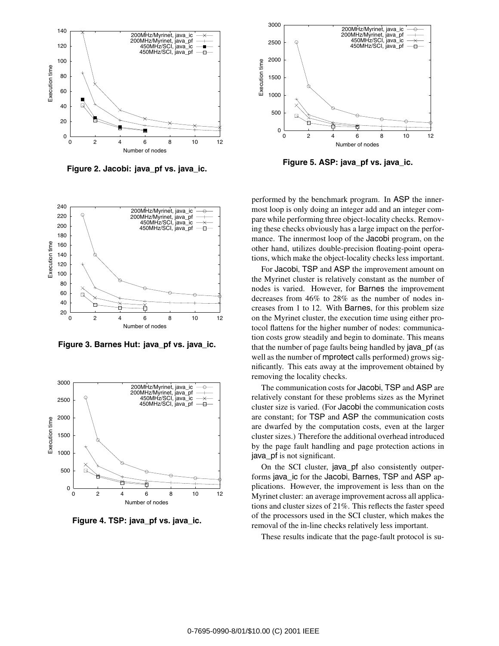

**Figure 2. Jacobi: java\_pf vs. java\_ic.**



**Figure 3. Barnes Hut: java\_pf vs. java\_ic.**



**Figure 4. TSP: java\_pf vs. java\_ic.**



**Figure 5. ASP: java\_pf vs. java\_ic.**

performed by the benchmark program. In ASP the innermost loop is only doing an integer add and an integer compare while performing three object-locality checks. Removing these checks obviously has a large impact on the performance. The innermost loop of the Jacobi program, on the other hand, utilizes double-precision floating-point operations, which make the object-locality checks less important.

For Jacobi, TSP and ASP the improvement amount on the Myrinet cluster is relatively constant as the number of nodes is varied. However, for Barnes the improvement decreases from 46% to 28% as the number of nodes increases from 1 to 12. With Barnes, for this problem size on the Myrinet cluster, the execution time using either protocol flattens for the higher number of nodes: communication costs grow steadily and begin to dominate. This means that the number of page faults being handled by java\_pf (as well as the number of mprotect calls performed) grows significantly. This eats away at the improvement obtained by removing the locality checks.

The communication costs for Jacobi, TSP and ASP are relatively constant for these problems sizes as the Myrinet cluster size is varied. (For Jacobi the communication costs are constant; for TSP and ASP the communication costs are dwarfed by the computation costs, even at the larger cluster sizes.) Therefore the additional overhead introduced by the page fault handling and page protection actions in java\_pf is not significant.

On the SCI cluster, java\_pf also consistently outperforms java ic for the Jacobi, Barnes, TSP and ASP applications. However, the improvement is less than on the Myrinet cluster: an average improvement across all applications and cluster sizes of 21%. This reflects the faster speed of the processors used in the SCI cluster, which makes the removal of the in-line checks relatively less important.

These results indicate that the page-fault protocol is su-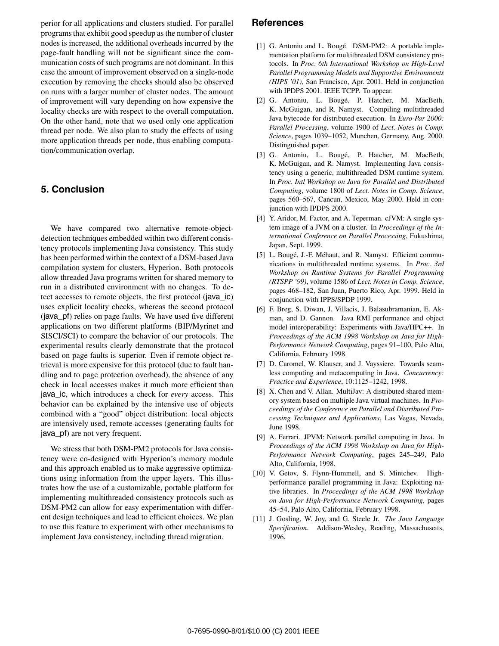perior for all applications and clusters studied. For parallel programs that exhibit good speedup as the number of cluster nodes is increased, the additional overheads incurred by the page-fault handling will not be significant since the communication costs of such programs are not dominant. In this case the amount of improvement observed on a single-node execution by removing the checks should also be observed on runs with a larger number of cluster nodes. The amount of improvement will vary depending on how expensive the locality checks are with respect to the overall computation. On the other hand, note that we used only one application thread per node. We also plan to study the effects of using more application threads per node, thus enabling computation/communication overlap.

## **5. Conclusion**

We have compared two alternative remote-objectdetection techniques embedded within two different consistency protocols implementing Java consistency. This study has been performed within the context of a DSM-based Java compilation system for clusters, Hyperion. Both protocols allow threaded Java programs written for shared memory to run in a distributed environment with no changes. To detect accesses to remote objects, the first protocol (java\_ic) uses explicit locality checks, whereas the second protocol (java\_pf) relies on page faults. We have used five different applications on two different platforms (BIP/Myrinet and SISCI/SCI) to compare the behavior of our protocols. The experimental results clearly demonstrate that the protocol based on page faults is superior. Even if remote object retrieval is more expensive for this protocol (due to fault handling and to page protection overhead), the absence of any check in local accesses makes it much more efficient than java\_ic, which introduces a check for *every* access. This behavior can be explained by the intensive use of objects combined with a "good" object distribution: local objects are intensively used, remote accesses (generating faults for java\_pf) are not very frequent.

We stress that both DSM-PM2 protocols for Java consistency were co-designed with Hyperion's memory module and this approach enabled us to make aggressive optimizations using information from the upper layers. This illustrates how the use of a customizable, portable platform for implementing multithreaded consistency protocols such as DSM-PM2 can allow for easy experimentation with different design techniques and lead to efficient choices. We plan to use this feature to experiment with other mechanisms to implement Java consistency, including thread migration.

# **References**

- [1] G. Antoniu and L. Bougé. DSM-PM2: A portable implementation platform for multithreaded DSM consistency protocols. In *Proc. 6th International Workshop on High-Level Parallel Programming Models and Supportive Environments (HIPS '01)*, San Francisco, Apr. 2001. Held in conjunction with IPDPS 2001. IEEE TCPP. To appear.
- [2] G. Antoniu, L. Bougé, P. Hatcher, M. MacBeth, K. McGuigan, and R. Namyst. Compiling multithreaded Java bytecode for distributed execution. In *Euro-Par 2000: Parallel Processing*, volume 1900 of *Lect. Notes in Comp. Science*, pages 1039–1052, Munchen, Germany, Aug. 2000. Distinguished paper.
- [3] G. Antoniu, L. Bougé, P. Hatcher, M. MacBeth, K. McGuigan, and R. Namyst. Implementing Java consistency using a generic, multithreaded DSM runtime system. In *Proc. Intl Workshop on Java for Parallel and Distributed Computing*, volume 1800 of *Lect. Notes in Comp. Science*, pages 560–567, Cancun, Mexico, May 2000. Held in conjunction with IPDPS 2000.
- [4] Y. Aridor, M. Factor, and A. Teperman. cJVM: A single system image of a JVM on a cluster. In *Proceedings of the International Conference on Parallel Processing*, Fukushima, Japan, Sept. 1999.
- [5] L. Bougé, J.-F. Méhaut, and R. Namyst. Efficient communications in multithreaded runtime systems. In *Proc. 3rd Workshop on Runtime Systems for Parallel Programming (RTSPP '99)*, volume 1586 of *Lect. Notes in Comp. Science*, pages 468–182, San Juan, Puerto Rico, Apr. 1999. Held in conjunction with IPPS/SPDP 1999.
- [6] F. Breg, S. Diwan, J. Villacis, J. Balasubramanian, E. Akman, and D. Gannon. Java RMI performance and object model interoperability: Experiments with Java/HPC++. In *Proceedings of the ACM 1998 Workshop on Java for High-Performance Network Computing*, pages 91–100, Palo Alto, California, February 1998.
- [7] D. Caromel, W. Klauser, and J. Vayssiere. Towards seamless computing and metacomputing in Java. *Concurrency: Practice and Experience*, 10:1125–1242, 1998.
- [8] X. Chen and V. Allan. MultiJav: A distributed shared memory system based on multiple Java virtual machines. In *Proceedings of the Conference on Parallel and Distributed Processing Techniques and Applications*, Las Vegas, Nevada, June 1998.
- [9] A. Ferrari. JPVM: Network parallel computing in Java. In *Proceedings of the ACM 1998 Workshop on Java for High-Performance Network Computing*, pages 245–249, Palo Alto, California, 1998.
- [10] V. Getov, S. Flynn-Hummell, and S. Mintchev. Highperformance parallel programming in Java: Exploiting native libraries. In *Proceedings of the ACM 1998 Workshop on Java for High-Performance Network Computing*, pages 45–54, Palo Alto, California, February 1998.
- [11] J. Gosling, W. Joy, and G. Steele Jr. *The Java Language Specification*. Addison-Wesley, Reading, Massachusetts, 1996.